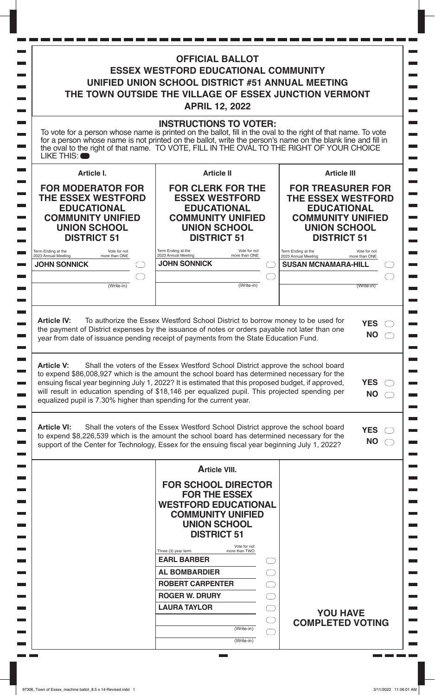| the oval to the right of that name. TO VOTE, FILL IN THE OVAL TO THE RIGHT OF YOUR CHOICE<br>LIKE THIS: O                                                                                                                                                                                                                                                                                                                                                                                                                                                                                    | <b>INSTRUCTIONS TO VOTER:</b><br>To vote for a person whose name is printed on the ballot, fill in the oval to the right of that name. To vote<br>for a person whose name is not printed on the ballot, write the person's name on the blank line and fill in |                                                                                                                                                      |
|----------------------------------------------------------------------------------------------------------------------------------------------------------------------------------------------------------------------------------------------------------------------------------------------------------------------------------------------------------------------------------------------------------------------------------------------------------------------------------------------------------------------------------------------------------------------------------------------|---------------------------------------------------------------------------------------------------------------------------------------------------------------------------------------------------------------------------------------------------------------|------------------------------------------------------------------------------------------------------------------------------------------------------|
|                                                                                                                                                                                                                                                                                                                                                                                                                                                                                                                                                                                              |                                                                                                                                                                                                                                                               |                                                                                                                                                      |
| Article I.                                                                                                                                                                                                                                                                                                                                                                                                                                                                                                                                                                                   | <b>Article II</b>                                                                                                                                                                                                                                             | <b>Article III</b>                                                                                                                                   |
| <b>FOR MODERATOR FOR</b><br><b>THE ESSEX WESTFORD</b><br><b>EDUCATIONAL</b><br><b>COMMUNITY UNIFIED</b><br><b>UNION SCHOOL</b><br><b>DISTRICT 51</b>                                                                                                                                                                                                                                                                                                                                                                                                                                         | <b>FOR CLERK FOR THE</b><br><b>ESSEX WESTFORD</b><br><b>EDUCATIONAL</b><br><b>COMMUNITY UNIFIED</b><br><b>UNION SCHOOL</b><br><b>DISTRICT 51</b>                                                                                                              | <b>FOR TREASURER FOR</b><br><b>THE ESSEX WESTFORD</b><br><b>EDUCATIONAL</b><br><b>COMMUNITY UNIFIED</b><br><b>UNION SCHOOL</b><br><b>DISTRICT 51</b> |
| Term Ending at the<br>Vote for not<br>2023 Annual Meeting<br>more than ONE                                                                                                                                                                                                                                                                                                                                                                                                                                                                                                                   | Term Ending at the<br>Vote for not<br>2023 Annual Meeting<br>more than ONE                                                                                                                                                                                    | Term Ending at the<br>Vote for not<br>2023 Annual Meeting<br>more than ONE                                                                           |
| <b>JOHN SONNICK</b>                                                                                                                                                                                                                                                                                                                                                                                                                                                                                                                                                                          | <b>JOHN SONNICK</b>                                                                                                                                                                                                                                           | <b>SUSAN MCNAMARA-HILL</b>                                                                                                                           |
| (Write-in)                                                                                                                                                                                                                                                                                                                                                                                                                                                                                                                                                                                   | (Write-in)                                                                                                                                                                                                                                                    | (Write-in)                                                                                                                                           |
| the payment of District expenses by the issuance of notes or orders payable not later than one<br>year from date of issuance pending receipt of payments from the State Education Fund.<br><b>Article V:</b><br>to expend \$86,008,927 which is the amount the school board has determined necessary for the<br>ensuing fiscal year beginning July 1, 2022? It is estimated that this proposed budget, if approved,<br>will result in education spending of \$18,146 per equalized pupil. This projected spending per<br>equalized pupil is 7.30% higher than spending for the current year. | Shall the voters of the Essex Westford School District approve the school board                                                                                                                                                                               | <b>NO</b><br><b>YES</b><br><b>NO</b>                                                                                                                 |
| <b>Article VI:</b><br>to expend \$8,226,539 which is the amount the school board has determined necessary for the<br>support of the Center for Technology, Essex for the ensuing fiscal year beginning July 1, 2022?                                                                                                                                                                                                                                                                                                                                                                         | Shall the voters of the Essex Westford School District approve the school board                                                                                                                                                                               | <b>YES</b><br><b>NO</b>                                                                                                                              |
|                                                                                                                                                                                                                                                                                                                                                                                                                                                                                                                                                                                              | <b>Article VIII.</b>                                                                                                                                                                                                                                          |                                                                                                                                                      |
|                                                                                                                                                                                                                                                                                                                                                                                                                                                                                                                                                                                              |                                                                                                                                                                                                                                                               |                                                                                                                                                      |
|                                                                                                                                                                                                                                                                                                                                                                                                                                                                                                                                                                                              | <b>FOR SCHOOL DIRECTOR</b><br><b>FOR THE ESSEX</b><br><b>WESTFORD EDUCATIONAL</b><br><b>COMMUNITY UNIFIED</b><br><b>UNION SCHOOL</b><br><b>DISTRICT 51</b>                                                                                                    |                                                                                                                                                      |
|                                                                                                                                                                                                                                                                                                                                                                                                                                                                                                                                                                                              | Vote for not<br>Three (3) year term<br>more than TWO                                                                                                                                                                                                          |                                                                                                                                                      |
|                                                                                                                                                                                                                                                                                                                                                                                                                                                                                                                                                                                              | <b>EARL BARBER</b>                                                                                                                                                                                                                                            |                                                                                                                                                      |
|                                                                                                                                                                                                                                                                                                                                                                                                                                                                                                                                                                                              | <b>AL BOMBARDIER</b>                                                                                                                                                                                                                                          |                                                                                                                                                      |
|                                                                                                                                                                                                                                                                                                                                                                                                                                                                                                                                                                                              | <b>ROBERT CARPENTER</b>                                                                                                                                                                                                                                       |                                                                                                                                                      |
|                                                                                                                                                                                                                                                                                                                                                                                                                                                                                                                                                                                              | <b>ROGER W. DRURY</b><br><b>LAURA TAYLOR</b>                                                                                                                                                                                                                  |                                                                                                                                                      |